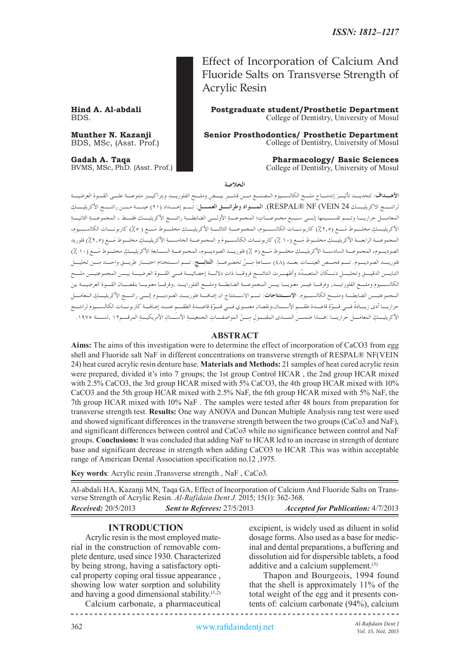Fluoride Salts on Transverse Strength of Acrylic Resin

**Hind A. Al-abdali Postgraduate student/Prosthetic Department**<br>BDS. College of Dentistry, University of Mosul College of Dentistry, University of Mosul

Effect of Incorporation of Calcium And

**Munther N. Kazanji Senior Prosthodontics/ Prosthetic Department**<br>BDS, MSc, (Asst. Prof.) **Senior Prosthodontics/ Prosthetic Department** College of Dentistry, University of Mosul

**Gadah A. Taqa Pharmacology/ Basic Sciences**<br>BVMS, MSc, PhD. (Asst. Prof.) **Pharmacology/ Basic Sciences**<br>College of Dentistry, University of Mosul College of Dentistry, University of Mosul

**الخالصة**

ِ ِ الفلوريـد وبتراكيـز متنوعـة علـى القـوة العرضيـة ِ بيـض وملـح **األهـداف** َ : لتحديـد تأثيـر إندمـاج ملـح الكالسـيوم المصنـع مـن قشـر لراتنـــج الاكريليـــك 24 RESPAL® NF (VEIN). ا**لمـــواد وطرائـــق العمـــل**: تـــم إعـــداد (٢١) عينـــة مـــن راتنـــجِ الأكريليــــكِ ِ المعامــل حراريــا وتــم تقســيمها إلــى ســبع مجموعــات ِ ؛ المجموعــة ِ األولــى الضابطــة راتنــج األكريليــك فقــط ، المجموعــة ِ الثانيــة ِ األكريليــك َ مخلــوط مــع )**%**2,5 ِ ( كاربونــات الكالســيوم، المجموعــة ِ الثالثــة ِ األكريليــك َ مخلــوط مــع ) **%**5( كاربونــات الكالســيوم، ِ المجموعـة الرابعـة األكريليـك َ مخلـوط مـع )10 **%** َ ( كاربونـات الكالسـيوم ِ و المجموعـة ِ الخامسـة ِ األكريليـك َ مخلـوط مـع )**%**2,5( فلوريد الصوديــوم، المجموعــة السادســة الأكريليــكِ مخلــوط مَــع (٥ ٪) فلوريـــد الصوديــوم، المجموعــةِ الســـابعةِ الأكريليــكِ مخلــوط مَــع (١٠ ٪)<br>. فلوريــــد الصوديــــوم. تــــم فحـــص العينــــات بعــــد (٤٨) ســـاعةِ مِـــنْ تحضيرهـــا. **النَتائِــــج:** تـــم اســـتخدام اختبـــار طريــــقِ واحـــد مِــــن تحليــــل<br>-التبايـــن الدقيـــقِ وتحليـــلٍ دنـــكان المتعـــدّد وأظهـــرت النتائـــج فروقـــا ذات دلالـــة إحصائيـــة فـــي القـــوة العرضيـــة بيـــن المجموعتيـــن ملـــح الكالسـيوم وملـح الفلورايـد, وفرقـا غيـر معنويـا بيـن المجموعـة الضابطـة وملـح الفلورايـد ,وفرقـا معنويـا بنقصـان القـوة العرضيـة بين المجموعتيـــن الضابطـــة وملـــح الكالســـيوم. الاســـ**تنتاجات**: تـــم الاســـتنتاج ان إضافـــة فلوريــــد الصوديـــوم إلـــى راتنــــج الأكريليــــكِ المعامـــل<br>. حراريـــا أدى زيـــادةً فـــي قـــوّةِ قاعـــدة طقـــمِ الأســـنان،ونقصان معنـــوي فـــي قـــوّةِ قاعـــدة الطقـــم عنـــد إضافــة كاربونـــات الكالســـيومَ لرانتـــج<br>. الأكريليــك المعامــــل حراريــــا . وصدا ضمــــن المـــدى المقبـــول مـــنْ المواصفــات الجمعيــة الأســـنان الأمريكيـــة المرقــــم11 , لســـنة 1970 ,

#### **ABSTRACT**

**Aims:** The aims of this investigation were to determine the effect of incorporation of CaCO3 from egg shell and Fluoride salt NaF in different concentrations on transverse strength of RESPAL® NF(VEIN 24) heat cured acrylic resin denture base. **Materials and Methods:** 21 samples of heat cured acrylic resin were prepared, divided it's into 7 groups; the 1st group Control HCAR , the 2nd group HCAR mixed with 2.5% CaCO3, the 3rd group HCAR mixed with 5% CaCO3, the 4th group HCAR mixed with 10% CaCO3 and the 5th group HCAR mixed with 2.5% NaF, the 6th group HCAR mixed with 5% NaF, the 7th group HCAR mixed with 10% NaF . The samples were tested after 48 hours from preparation for transverse strength test. **Results:** One way ANOVA and Duncan Multiple Analysis rang test were used and showed significant differences in the transverse strength between the two groups (CaCo3 and NaF), and significant differences between control and CaCo3 while no significance between control and NaF groups. **Conclusions:** It was concluded that adding NaF to HCAR led to an increase in strength of denture base and significant decrease in strength when adding CaCO3 to HCAR .This was within acceptable range of American Dental Association specification no.12 ,1975.

**Key words**: Acrylic resin ,Transverse strength , NaF , CaCo3.

Al-abdali HA, Kazanji MN, Taqa GA, Effect of Incorporation of Calcium And Fluoride Salts on Transverse Strength of Acrylic Resin. *Al-Rafidain Dent J.* 2015; 15(1): 362-368. *Received:* 20/5/2013 *Sent to Referees:* 27/5/2013 *Accepted for Publication:* 4/7/2013

### **INTRODUCTION**

Acrylic resin is the most employed material in the construction of removable complete denture, used since 1930. Characterized by being strong, having a satisfactory optical property coping oral tissue appearance , showing low water sorption and solubility and having a good dimensional stability. $(1,2)$ 

Calcium carbonate, a pharmaceutical

excipient, is widely used as diluent in solid dosage forms. Also used as a base for medicinal and dental preparations, a buffering and dissolution aid for dispersible tablets, a food additive and a calcium supplement.<sup>(3)</sup>

Thapon and Bourgeois, 1994 found that the shell is approximately 11% of the total weight of the egg and it presents contents of: calcium carbonate (94%), calcium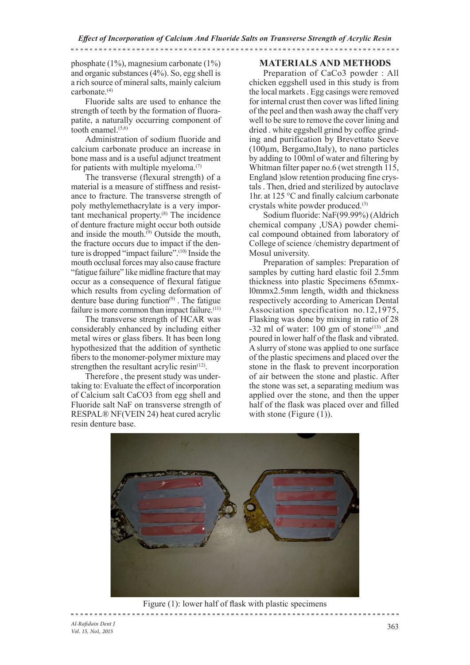*Effect of Incorporation of Calcium And Fluoride Salts on Transverse Strength of Acrylic Resin* 

phosphate (1%), magnesium carbonate (1%) and organic substances (4%). So, egg shell is a rich source of mineral salts, mainly calcium carbonate.(4)

Fluoride salts are used to enhance the strength of teeth by the formation of fluorapatite, a naturally occurring component of tooth enamel. $(5,6)$ 

Administration of sodium fluoride and calcium carbonate produce an increase in bone mass and is a useful adjunct treatment for patients with multiple myeloma. $(7)$ 

The transverse (flexural strength) of a material is a measure of stiffness and resistance to fracture. The transverse strength of poly methylemethacrylate is a very important mechanical property.<sup>(8)</sup> The incidence of denture fracture might occur both outside and inside the mouth. $(9)$  Outside the mouth, the fracture occurs due to impact if the denture is dropped "impact failure".(10) Inside the mouth occlusal forces may also cause fracture "fatigue failure" like midline fracture that may occur as a consequence of flexural fatigue which results from cycling deformation of denture base during function<sup>(9)</sup>. The fatigue failure is more common than impact failure.<sup>(11)</sup>

The transverse strength of HCAR was considerably enhanced by including either metal wires or glass fibers. It has been long hypothesized that the addition of synthetic fibers to the monomer-polymer mixture may strengthen the resultant acrylic resin $(12)$ .

Therefore , the present study was undertaking to: Evaluate the effect of incorporation of Calcium salt CaCO3 from egg shell and Fluoride salt NaF on transverse strength of RESPAL® NF(VEIN 24) heat cured acrylic resin denture base.

# **MATERIALS AND METHODS**

Preparation of CaCo3 powder : All chicken eggshell used in this study is from the local markets . Egg casings were removed for internal crust then cover was lifted lining of the peel and then wash away the chaff very well to be sure to remove the cover lining and dried . white eggshell grind by coffee grinding and purification by Brevettato Seeve  $(100\mu m,$  Bergamo, Italy), to nano particles by adding to 100ml of water and filtering by Whitman filter paper no.6 (wet strength 115, England )slow retention producing fine crystals . Then, dried and sterilized by autoclave 1hr. at 125 °C and finally calcium carbonate crystals white powder produced.(3)

Sodium fluoride: NaF(99.99%) (Aldrich chemical company ,USA) powder chemical compound obtained from laboratory of College of science /chemistry department of Mosul university.

Preparation of samples: Preparation of samples by cutting hard elastic foil 2.5mm thickness into plastic Specimens 65mmxl0mmx2.5mm length, width and thickness respectively according to American Dental Association specification no.12,1975, Flasking was done by mixing in ratio of 28 -32 ml of water:  $100 \text{ gm}$  of stone<sup>(13)</sup>, and poured in lower half of the flask and vibrated. A slurry of stone was applied to one surface of the plastic specimens and placed over the stone in the flask to prevent incorporation of air between the stone and plastic. After the stone was set, a separating medium was applied over the stone, and then the upper half of the flask was placed over and filled with stone (Figure (1)).



Figure (1): lower half of flask with plastic specimens 

*Al-Rafidain Dent J Vol. 15, No1, 2015*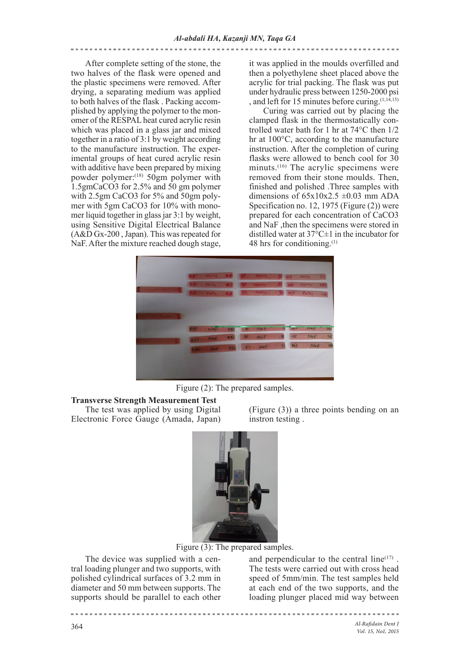After complete setting of the stone, the two halves of the flask were opened and the plastic specimens were removed. After drying, a separating medium was applied to both halves of the flask . Packing accomplished by applying the polymer to the monomer of the RESPAL heat cured acrylic resin which was placed in a glass jar and mixed together in a ratio of 3:1 by weight according to the manufacture instruction. The experimental groups of heat cured acrylic resin with additive have been prepared by mixing powder polymer:(18) 50gm polymer with 1.5gmCaCO3 for 2.5% and 50 gm polymer with 2.5gm CaCO3 for 5% and 50gm polymer with 5gm CaCO3 for 10% with monomer liquid together in glass jar 3:1 by weight, using Sensitive Digital Electrical Balance (A&D Gx-200 , Japan). This was repeated for NaF. After the mixture reached dough stage,

it was applied in the moulds overfilled and then a polyethylene sheet placed above the acrylic for trial packing. The flask was put under hydraulic press between 1250-2000 psi , and left for 15 minutes before curing.  $(1,14,15)$ 

Curing was carried out by placing the clamped flask in the thermostatically controlled water bath for 1 hr at 74°C then 1/2 hr at 100°C, according to the manufacture instruction. After the completion of curing flasks were allowed to bench cool for 30 minuts.<sup>(16)</sup> The acrylic specimens were removed from their stone moulds. Then, finished and polished .Three samples with dimensions of  $65x10x2.5 \pm 0.03$  mm ADA Specification no. 12, 1975 (Figure (2)) were prepared for each concentration of CaCO3 and NaF ,then the specimens were stored in distilled water at  $37^{\circ}$ C $\pm$ 1 in the incubator for 48 hrs for conditioning.(1)



Figure (2): The prepared samples.

#### **Transverse Strength Measurement Test**  The test was applied by using Digital

Electronic Force Gauge (Amada, Japan)

(Figure (3)) a three points bending on an instron testing .



Figure (3): The prepared samples.

The device was supplied with a central loading plunger and two supports, with polished cylindrical surfaces of 3.2 mm in diameter and 50 mm between supports. The supports should be parallel to each other

and perpendicular to the central  $line^{(17)}$ . The tests were carried out with cross head speed of 5mm/min. The test samples held at each end of the two supports, and the loading plunger placed mid way between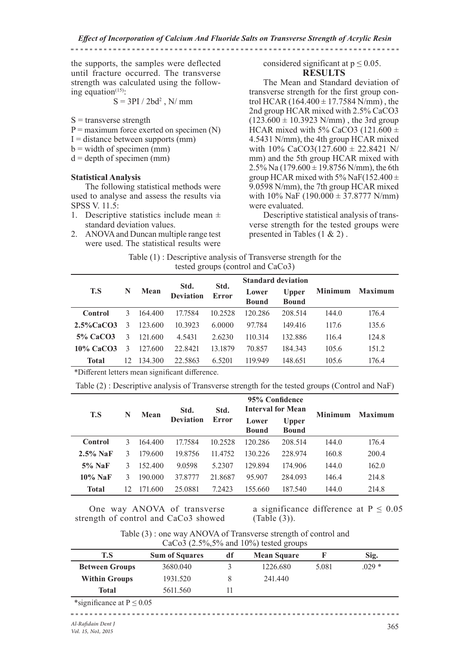*Effect of Incorporation of Calcium And Fluoride Salts on Transverse Strength of Acrylic Resin* 

## the supports, the samples were deflected until fracture occurred. The transverse strength was calculated using the following equation $(15)$ :

$$
S = 3PI / 2bd^2
$$
, N/mm

- $S =$  transverse strength
- $P =$  maximum force exerted on specimen  $(N)$
- $I =$  distance between supports (mm)
- $b = width of specimen (mm)$
- $d =$  depth of specimen (mm)

# **Statistical Analysis**

The following statistical methods were used to analyse and assess the results via SPSS V. 11.5:

- 1. Descriptive statistics include mean  $\pm$ standard deviation values.
- 2. ANOVA and Duncan multiple range test were used. The statistical results were

considered significant at  $p \leq 0.05$ . **RESULTS**

The Mean and Standard deviation of transverse strength for the first group control HCAR  $(164.400 \pm 17.7584 \text{ N/mm})$ , the 2nd group HCAR mixed with 2.5% CaCO3  $(123.600 \pm 10.3923 \text{ N/mm})$ , the 3rd group HCAR mixed with 5% CaCO3 (121.600  $\pm$ 4.5431 N/mm), the 4th group HCAR mixed with  $10\%$  CaCO3(127.600  $\pm$  22.8421 N/ mm) and the 5th group HCAR mixed with 2.5% Na  $(179.600 \pm 19.8756 \text{ N/mm})$ , the 6th group HCAR mixed with 5% NaF(152.400  $\pm$ 9.0598 N/mm), the 7th group HCAR mixed with  $10\%$  NaF  $(190.000 \pm 37.8777$  N/mm) were evaluated.

Descriptive statistical analysis of transverse strength for the tested groups were presented in Tables (1 & 2) .

| Table $(1)$ : Descriptive analysis of Transverse strength for the |                                   |  |  |
|-------------------------------------------------------------------|-----------------------------------|--|--|
|                                                                   | tested groups (control and CaCo3) |  |  |

|               |    |         |                          | Std.         | <b>Standard deviation</b> |                              |                |                |
|---------------|----|---------|--------------------------|--------------|---------------------------|------------------------------|----------------|----------------|
| T.S           | N  | Mean    | Std.<br><b>Deviation</b> | <b>Error</b> | Lower<br><b>Bound</b>     | <b>Upper</b><br><b>Bound</b> | <b>Minimum</b> | <b>Maximum</b> |
|               |    |         |                          |              |                           |                              |                |                |
| Control       | 3  | 164.400 | 17.7584                  | 10.2528      | 120.286                   | 208.514                      | 144.0          | 176.4          |
| $2.5\%$ CaCO3 | 3  | 123.600 | 10.3923                  | 6.0000       | 97.784                    | 149.416                      | 117.6          | 135.6          |
| 5% CaCO3      | 3  | 121.600 | 4.5431                   | 2.6230       | 110.314                   | 132.886                      | 116.4          | 124.8          |
| $10\%$ CaCO3  | 3  | 127.600 | 22.8421                  | 13.1879      | 70.857                    | 184.343                      | 105.6          | 151.2          |
| <b>Total</b>  | 12 | 134.300 | 22.5863                  | 6.5201       | 119.949                   | 148.651                      | 105.6          | 176.4          |

\*Different letters mean significant difference.

Table (2) : Descriptive analysis of Transverse strength for the tested groups (Control and NaF)

| T.S          | N  | Mean    | Std.             | Std.    | 95% Confidence<br><b>Interval for Mean</b> |                       | <b>Minimum</b> | Maximum |  |
|--------------|----|---------|------------------|---------|--------------------------------------------|-----------------------|----------------|---------|--|
|              |    |         | <b>Deviation</b> | Error   | Lower<br><b>Bound</b>                      | Upper<br><b>Bound</b> |                |         |  |
| Control      | 3  | 164.400 | 17.7584          | 10.2528 | 120.286                                    | 208.514               | 144.0          | 176.4   |  |
| $2.5\%$ NaF  | 3  | 179.600 | 19.8756          | 11.4752 | 130.226                                    | 228.974               | 160.8          | 200.4   |  |
| $5\%$ NaF    | 3  | 152.400 | 9.0598           | 5.2307  | 129.894                                    | 174.906               | 144.0          | 162.0   |  |
| $10\%$ NaF   | 3  | 190.000 | 37.8777          | 21.8687 | 95.907                                     | 284.093               | 146.4          | 214.8   |  |
| <b>Total</b> | 12 | 171.600 | 25.0881          | 7.2423  | 155.660                                    | 187.540               | 144.0          | 214.8   |  |

One way ANOVA of transverse strength of control and CaCo3 showed a significance difference at  $P \le 0.05$ (Table (3)).

Table (3) : one way ANOVA of Transverse strength of control and CaCo3  $(2.5\%, 5\%$  and  $10\%)$  tested groups

| T.S                           | <b>Sum of Squares</b> | df | <b>Mean Square</b> |       | Sig.    |  |
|-------------------------------|-----------------------|----|--------------------|-------|---------|--|
| <b>Between Groups</b>         | 3680.040              |    | 1226.680           | 5.081 | $.029*$ |  |
| <b>Within Groups</b>          | 1931.520              |    | 241.440            |       |         |  |
| Total                         | 5611.560              |    |                    |       |         |  |
| *significance at $P \le 0.05$ |                       |    |                    |       |         |  |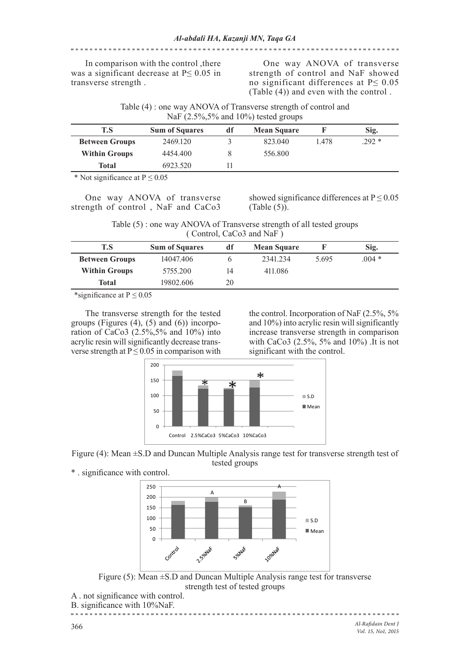# In comparison with the control ,there was a significant decrease at P≤ 0.05 in transverse strength .

One way ANOVA of transverse strength of control and NaF showed no significant differences at P≤ 0.05 (Table (4)) and even with the control .

| Table (4) : one way ANOVA of Transverse strength of control and |  |
|-----------------------------------------------------------------|--|
| NaF $(2.5\%, 5\%$ and 10%) tested groups                        |  |

| T.S                   | <b>Sum of Squares</b> | df | <b>Mean Square</b> |       | Sig.   |
|-----------------------|-----------------------|----|--------------------|-------|--------|
| <b>Between Groups</b> | 2469.120              |    | 823.040            | 1.478 | .292 * |
| <b>Within Groups</b>  | 4454.400              |    | 556.800            |       |        |
| Total                 | 6923.520              |    |                    |       |        |
|                       |                       |    |                    |       |        |

\* Not significance at  $P \le 0.05$ 

One way ANOVA of transverse strength of control , NaF and CaCo3

showed significance differences at  $P \le 0.05$ (Table (5)).

Table (5) : one way ANOVA of Transverse strength of all tested groups ( Control, CaCo3 and NaF )

| T.S                   | <b>Sum of Squares</b> | df | <b>Mean Square</b> |       | Sig.    |
|-----------------------|-----------------------|----|--------------------|-------|---------|
| <b>Between Groups</b> | 14047.406             |    | 2341.234           | 5.695 | $.004*$ |
| <b>Within Groups</b>  | 5755.200              | 14 | 411.086            |       |         |
| <b>Total</b>          | 19802.606             | 20 |                    |       |         |

\*significance at  $P \le 0.05$ 

The transverse strength for the tested groups (Figures  $(4)$ ,  $(5)$  and  $(6)$ ) incorporation of CaCo3 (2.5%,5% and 10%) into acrylic resin will significantly decrease transverse strength at  $P \le 0.05$  in comparison with the control. Incorporation of NaF (2.5%, 5% and 10%) into acrylic resin will significantly increase transverse strength in comparison with CaCo3 (2.5%, 5% and 10%) .It is not significant with the control.



Figure (4): Mean ±S.D and Duncan Multiple Analysis range test for transverse strength test of tested groups





Figure (5): Mean ±S.D and Duncan Multiple Analysis range test for transverse strength test of tested groups

- A . not significance with control.
- B. significance with 10%NaF.

*Al-Rafidain Dent J Vol. 15, No1, 2015*

**SEESSEES**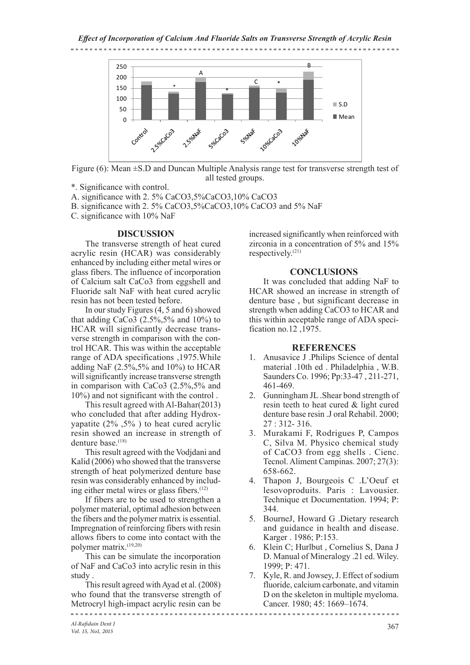#### *Effect of Incorporation of Calcium And Fluoride Salts on Transverse Strength of Acrylic Resin*



Figure (6): Mean ±S.D and Duncan Multiple Analysis range test for transverse strength test of all tested groups.

\*. Significance with control.

A. significance with 2. 5% CaCO3,5%CaCO3,10% CaCO3

B. significance with 2. 5% CaCO3,5%CaCO3,10% CaCO3 and 5% NaF

C. significance with 10% NaF

# **DISCUSSION**

The transverse strength of heat cured acrylic resin (HCAR) was considerably enhanced by including either metal wires or glass fibers. The influence of incorporation of Calcium salt CaCo3 from eggshell and Fluoride salt NaF with heat cured acrylic resin has not been tested before.

In our study Figures (4, 5 and 6) showed that adding CaCo3  $(2.5\%, 5\%$  and  $10\%)$  to HCAR will significantly decrease transverse strength in comparison with the control HCAR. This was within the acceptable range of ADA specifications ,1975.While adding NaF  $(2.5\%, 5\%$  and 10%) to HCAR will significantly increase transverse strength in comparison with CaCo3 (2.5%,5% and 10%) and not significant with the control .

This result agreed with Al-Bahar(2013) who concluded that after adding Hydroxyapatite (2% ,5% ) to heat cured acrylic resin showed an increase in strength of denture base.<sup>(18)</sup>

This result agreed with the Vodjdani and Kalid (2006) who showed that the transverse strength of heat polymerized denture base resin was considerably enhanced by including either metal wires or glass fibers.<sup>(12)</sup>

If fibers are to be used to strengthen a polymer material, optimal adhesion between the fibers and the polymer matrix is essential. Impregnation of reinforcing fibers with resin allows fibers to come into contact with the polymer matrix.(19,20)

This can be simulate the incorporation of NaF and CaCo3 into acrylic resin in this study .

This result agreed with Ayad et al. (2008) who found that the transverse strength of Metrocryl high-impact acrylic resin can be

increased significantly when reinforced with zirconia in a concentration of 5% and 15% respectively.(21)

# **CONCLUSIONS**

It was concluded that adding NaF to HCAR showed an increase in strength of denture base , but significant decrease in strength when adding CaCO3 to HCAR and this within acceptable range of ADA specification no.12 ,1975.

# **REFERENCES**

- 1. Anusavice J .Philips Science of dental material .10th ed . Philadelphia , W.B. Saunders Co. 1996; Pp:33-47 , 211-271, 461-469.
- 2. Gunningham JL .Shear bond strength of resin teeth to heat cured & light cured denture base resin .J oral Rehabil. 2000; 27 : 312- 316.
- 3. Murakami F, Rodrigues P, Campos C, Silva M. Physico chemical study of CaCO3 from egg shells . Cienc. Tecnol. Aliment Campinas. 2007; 27(3): 658-662.
- 4. Thapon J, Bourgeois C .L'Oeuf et lesovoproduits. Paris : Lavousier. Technique et Documentation. 1994; P: 344.
- 5. BourneJ, Howard G .Dietary research and guidance in health and disease. Karger . 1986; P:153.
- 6. Klein C; Hurlbut , Cornelius S, Dana J D. Manual of Mineralogy .21 ed. Wiley. 1999; P: 471.
- 7. Kyle, R. and Jowsey, J. Effect of sodium fluoride, calcium carbonate, and vitamin D on the skeleton in multiple myeloma. Cancer. 1980; 45: 1669–1674.